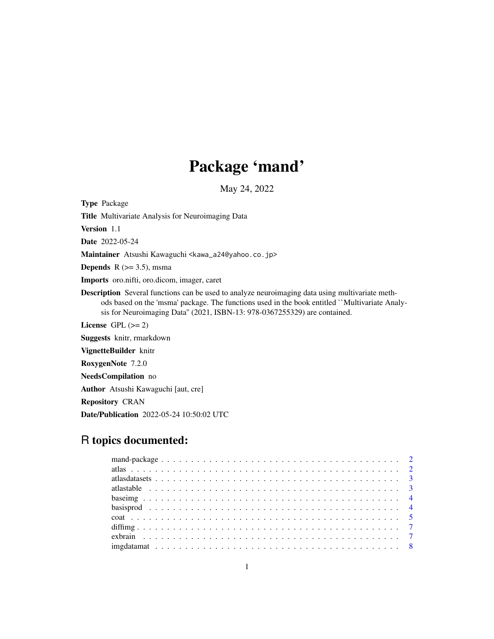# Package 'mand'

May 24, 2022

Type Package Title Multivariate Analysis for Neuroimaging Data Version 1.1 Date 2022-05-24 Maintainer Atsushi Kawaguchi <kawa\_a24@yahoo.co.jp> **Depends** R  $(>= 3.5)$ , msma Imports oro.nifti, oro.dicom, imager, caret Description Several functions can be used to analyze neuroimaging data using multivariate methods based on the 'msma' package. The functions used in the book entitled ``Multivariate Analysis for Neuroimaging Data'' (2021, ISBN-13: 978-0367255329) are contained. License GPL  $(>= 2)$ Suggests knitr, rmarkdown VignetteBuilder knitr RoxygenNote 7.2.0 NeedsCompilation no Author Atsushi Kawaguchi [aut, cre] Repository CRAN Date/Publication 2022-05-24 10:50:02 UTC

## R topics documented: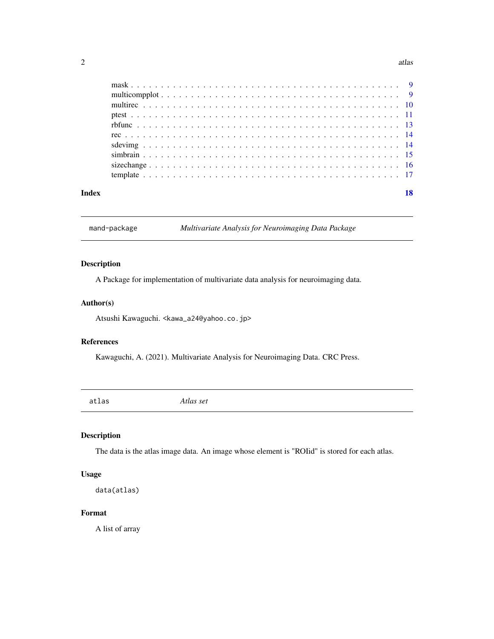#### <span id="page-1-0"></span> $2 \t{atlas}$

| Index | 18 |
|-------|----|
|       |    |
|       |    |
|       |    |
|       |    |
|       |    |
|       |    |
|       |    |
|       |    |
|       |    |
|       |    |

mand-package *Multivariate Analysis for Neuroimaging Data Package*

#### Description

A Package for implementation of multivariate data analysis for neuroimaging data.

#### Author(s)

Atsushi Kawaguchi. <kawa\_a24@yahoo.co.jp>

#### References

Kawaguchi, A. (2021). Multivariate Analysis for Neuroimaging Data. CRC Press.

atlas *Atlas set*

#### Description

The data is the atlas image data. An image whose element is "ROIid" is stored for each atlas.

#### Usage

data(atlas)

#### Format

A list of array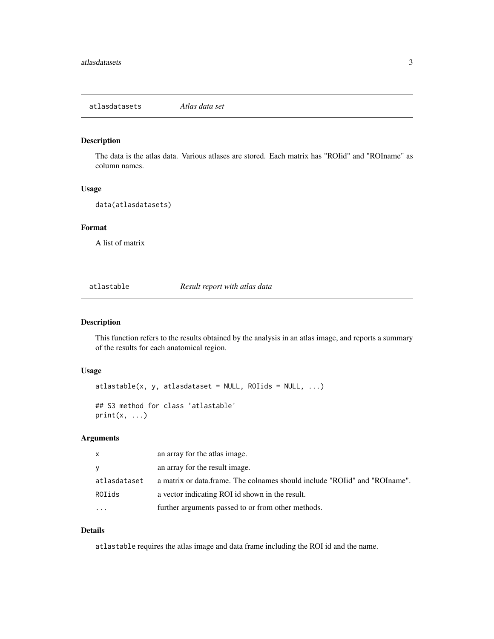<span id="page-2-0"></span>The data is the atlas data. Various atlases are stored. Each matrix has "ROIid" and "ROIname" as column names.

#### Usage

data(atlasdatasets)

#### Format

A list of matrix

atlastable *Result report with atlas data*

#### Description

This function refers to the results obtained by the analysis in an atlas image, and reports a summary of the results for each anatomical region.

#### Usage

```
atlastable(x, y, atlastaste = NULL, ROIids = NULL, ...)## S3 method for class 'atlastable'
print(x, \ldots)
```
#### Arguments

| $\mathsf{X}$ | an array for the atlas image.                                            |
|--------------|--------------------------------------------------------------------------|
| <b>y</b>     | an array for the result image.                                           |
| atlasdataset | a matrix or data.frame. The colnames should include "ROI and "ROI name". |
| ROIids       | a vector indicating ROI id shown in the result.                          |
| $\ddotsc$    | further arguments passed to or from other methods.                       |

#### Details

atlastable requires the atlas image and data frame including the ROI id and the name.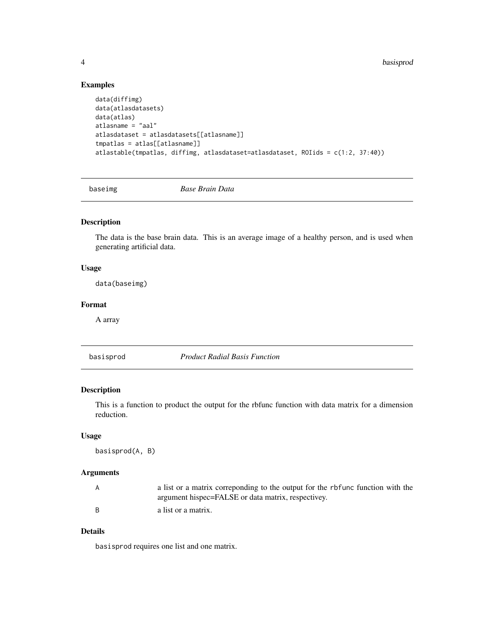#### Examples

```
data(diffimg)
data(atlasdatasets)
data(atlas)
atlasname = "aal"
atlasdataset = atlasdatasets[[atlasname]]
tmpatlas = atlas[[atlasname]]
atlastable(tmpatlas, diffimg, atlasdataset=atlasdataset, ROIids = c(1:2, 37:40))
```
baseimg *Base Brain Data*

#### Description

The data is the base brain data. This is an average image of a healthy person, and is used when generating artificial data.

#### Usage

data(baseimg)

#### Format

A array

basisprod *Product Radial Basis Function*

#### Description

This is a function to product the output for the rbfunc function with data matrix for a dimension reduction.

#### Usage

basisprod(A, B)

#### Arguments

| a list or a matrix correponding to the output for the rbfunc function with the |
|--------------------------------------------------------------------------------|
| argument hispec=FALSE or data matrix, respectivey.                             |
| a list or a matrix.                                                            |

#### Details

basisprod requires one list and one matrix.

<span id="page-3-0"></span>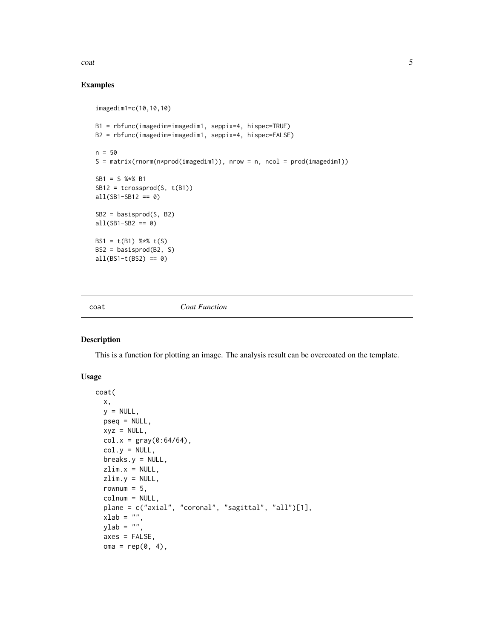<span id="page-4-0"></span> $\frac{1}{5}$ 

#### Examples

```
imagedim1=c(10,10,10)
B1 = rbfunc(imagedim=imagedim1, seppix=4, hispec=TRUE)
B2 = rbfunc(imagedim=imagedim1, seppix=4, hispec=FALSE)
n = 50
S = matrix(rnorm(n * prod(imagedim1)), nrow = n, ncol = prod(imagedim1))
SB1 = S %*% B1
SB12 = tcrossprod(S, t(B1))all(SB1-SB12 == 0)SB2 = basisprod(S, B2)
all(SB1-SB2 == 0)BS1 = t(B1) %*% t(S)BS2 = basisprod(B2, S)
all(BS1-t(BS2) == 0)
```
coat *Coat Function*

#### Description

This is a function for plotting an image. The analysis result can be overcoated on the template.

#### Usage

```
coat(
 x,
 y = NULL,pseq = NULL,
 xyz = NULL,col.x = gray(0:64/64),
 col.y = NULL,breaks.y = NULL,zlim.x = NULL,
 zlim.y = NULL,
 rownum = 5,
  colnum = NULL,
 plane = c("axial", "coronal", "sagittal", "all")[1],
 xlab = ",
 ylab = "",
  axes = FALSE,
 oma = rep(0, 4),
```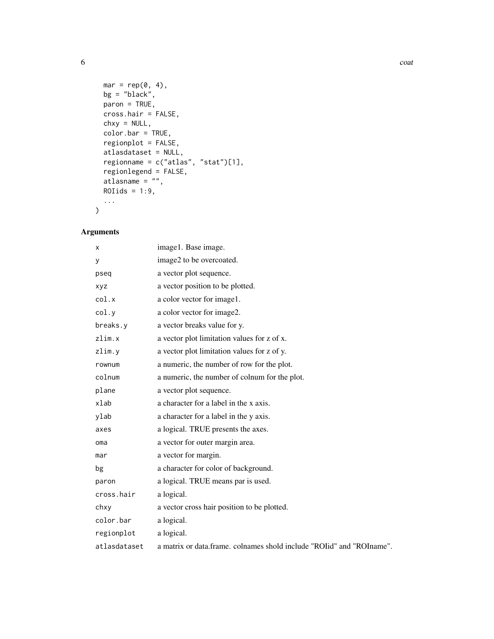```
mar = rep(0, 4),bg = "black",paron = TRUE,
 cross.hair = FALSE,
 chxy = NULL,
 color.bar = TRUE,
 regionplot = FALSE,
 atlasdataset = NULL,
 regionname = c("atlas", "stat")[1],regionlegend = FALSE,
 atlasname = "",
 ROIids = 1:9,
  ...
\mathcal{L}
```
#### Arguments

| x            | image1. Base image.                                                    |
|--------------|------------------------------------------------------------------------|
| y            | image2 to be overcoated.                                               |
| pseq         | a vector plot sequence.                                                |
| xyz          | a vector position to be plotted.                                       |
| col.x        | a color vector for image1.                                             |
| col.y        | a color vector for image2.                                             |
| breaks.y     | a vector breaks value for y.                                           |
| zlim.x       | a vector plot limitation values for z of x.                            |
| zlim.y       | a vector plot limitation values for z of y.                            |
| rownum       | a numeric, the number of row for the plot.                             |
| colnum       | a numeric, the number of colnum for the plot.                          |
| plane        | a vector plot sequence.                                                |
| xlab         | a character for a label in the x axis.                                 |
| ylab         | a character for a label in the y axis.                                 |
| axes         | a logical. TRUE presents the axes.                                     |
| oma          | a vector for outer margin area.                                        |
| mar          | a vector for margin.                                                   |
| bg           | a character for color of background.                                   |
| paron        | a logical. TRUE means par is used.                                     |
| cross.hair   | a logical.                                                             |
| chxy         | a vector cross hair position to be plotted.                            |
| color.bar    | a logical.                                                             |
| regionplot   | a logical.                                                             |
| atlasdataset | a matrix or data.frame, colnames shold include "ROI d" and "ROI name". |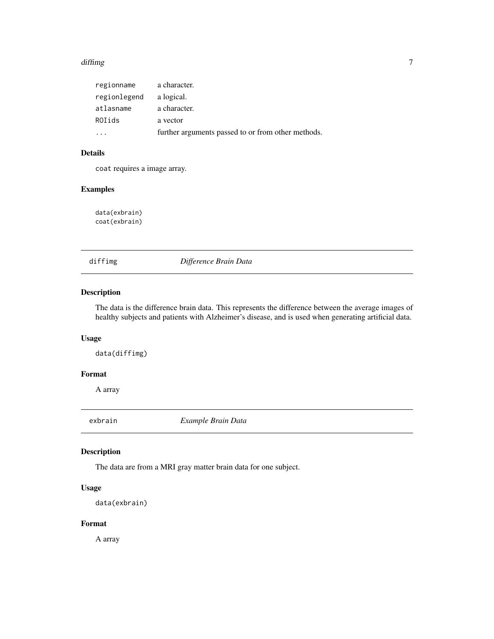#### <span id="page-6-0"></span>diffimg the contract of the contract of the contract of the contract of the contract of the contract of the contract of the contract of the contract of the contract of the contract of the contract of the contract of the co

| regionname   | a character.                                       |
|--------------|----------------------------------------------------|
| regionlegend | a logical.                                         |
| atlasname    | a character.                                       |
| ROIids       | a vector                                           |
|              | further arguments passed to or from other methods. |

#### Details

coat requires a image array.

#### Examples

data(exbrain) coat(exbrain)

diffimg *Difference Brain Data*

#### Description

The data is the difference brain data. This represents the difference between the average images of healthy subjects and patients with Alzheimer's disease, and is used when generating artificial data.

#### Usage

data(diffimg)

#### Format

A array

exbrain *Example Brain Data*

#### Description

The data are from a MRI gray matter brain data for one subject.

#### Usage

```
data(exbrain)
```
#### Format

A array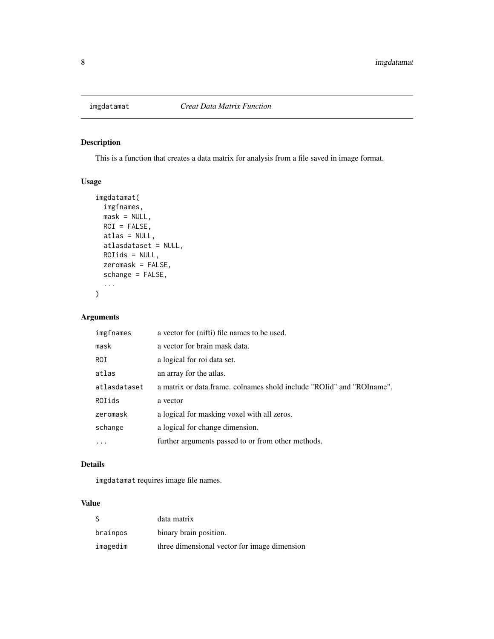<span id="page-7-0"></span>

This is a function that creates a data matrix for analysis from a file saved in image format.

#### Usage

```
imgdatamat(
  imgfnames,
 mask = NULL,ROI = FALSE,
 atlas = NULL,
 atlasdataset = NULL,
 ROIids = NULL,
 zeromask = FALSE,
  schange = FALSE,
  ...
)
```
#### Arguments

| imgfnames    | a vector for (nifti) file names to be used.                           |
|--------------|-----------------------------------------------------------------------|
| mask         | a vector for brain mask data.                                         |
| ROI.         | a logical for roi data set.                                           |
| atlas        | an array for the atlas.                                               |
| atlasdataset | a matrix or data.frame. colnames shold include "ROIid" and "ROIname". |
| ROIids       | a vector                                                              |
| zeromask     | a logical for masking voxel with all zeros.                           |
| schange      | a logical for change dimension.                                       |
|              | further arguments passed to or from other methods.                    |

#### Details

imgdatamat requires image file names.

#### Value

| -S       | data matrix                                  |
|----------|----------------------------------------------|
| brainpos | binary brain position.                       |
| imagedim | three dimensional vector for image dimension |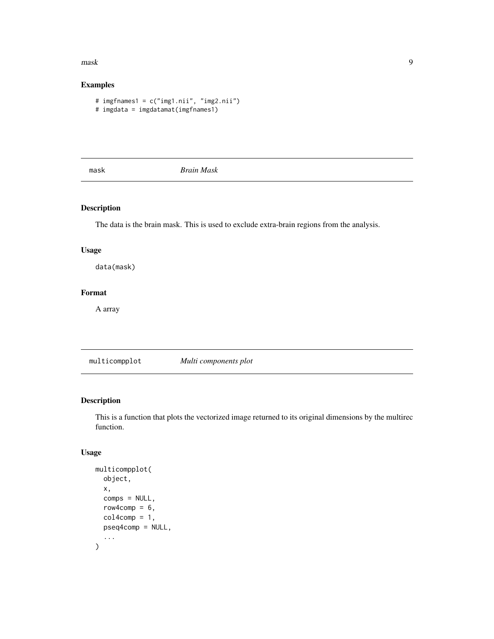#### <span id="page-8-0"></span>mask **9**

#### Examples

```
# imgfnames1 = c("img1.nii", "img2.nii")
# imgdata = imgdatamat(imgfnames1)
```
mask *Brain Mask*

#### Description

The data is the brain mask. This is used to exclude extra-brain regions from the analysis.

#### Usage

data(mask)

#### Format

A array

multicompplot *Multi components plot*

#### Description

This is a function that plots the vectorized image returned to its original dimensions by the multirec function.

#### Usage

```
multicompplot(
  object,
 x,
  comps = NULL,
  row4comp = 6,
  col4comp = 1,
 pseq4comp = NULL,
  ...
)
```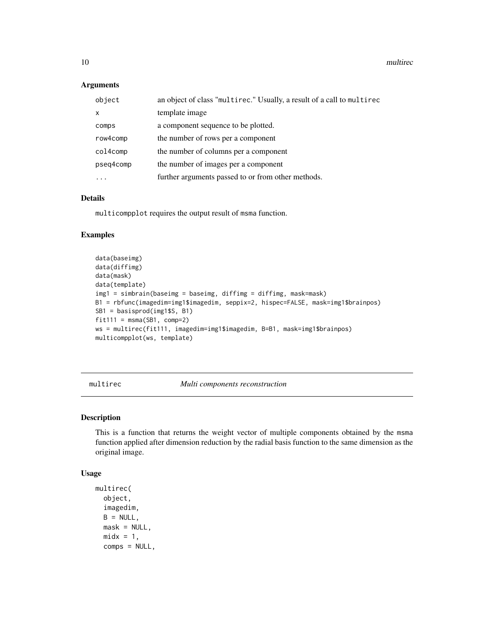#### Arguments

| object    | an object of class "multirec." Usually, a result of a call to multirec |
|-----------|------------------------------------------------------------------------|
| $\times$  | template image                                                         |
| comps     | a component sequence to be plotted.                                    |
| row4comp  | the number of rows per a component                                     |
| col4comp  | the number of columns per a component                                  |
| pseq4comp | the number of images per a component                                   |
|           | further arguments passed to or from other methods.                     |

#### Details

multicompplot requires the output result of msma function.

#### Examples

```
data(baseimg)
data(diffimg)
data(mask)
data(template)
img1 = simbrain(baseimg = baseimg, diffimg = diffimg, mask=mask)
B1 = rbfunc(imagedim=img1$imagedim, seppix=2, hispec=FALSE, mask=img1$brainpos)
SB1 = basisprod(img1$S, B1)
fit111 = msma(SB1, comp=2)ws = multirec(fit111, imagedim=img1$imagedim, B=B1, mask=img1$brainpos)
multicompplot(ws, template)
```
multirec *Multi components reconstruction*

#### Description

This is a function that returns the weight vector of multiple components obtained by the msma function applied after dimension reduction by the radial basis function to the same dimension as the original image.

#### Usage

```
multirec(
  object,
  imagedim,
 B = NULL,
 mask = NULL,midx = 1,
  comps = NULL,
```
<span id="page-9-0"></span>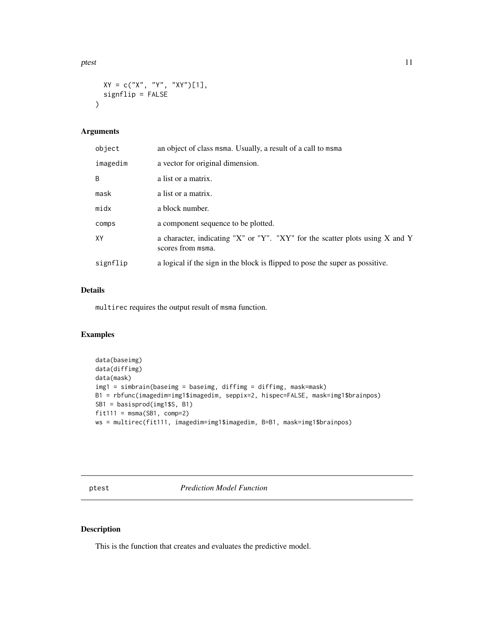<span id="page-10-0"></span>ptest the contract of the contract of the contract of the contract of the contract of the contract of the contract of the contract of the contract of the contract of the contract of the contract of the contract of the cont

```
XY = c("X", "Y", "XY")[1],
 signflip = FALSE
)
```
#### Arguments

| object   | an object of class msma. Usually, a result of a call to msma                                      |
|----------|---------------------------------------------------------------------------------------------------|
| imagedim | a vector for original dimension.                                                                  |
| B        | a list or a matrix.                                                                               |
| mask     | a list or a matrix.                                                                               |
| midx     | a block number.                                                                                   |
| comps    | a component sequence to be plotted.                                                               |
| XY       | a character, indicating "X" or "Y". "XY" for the scatter plots using X and Y<br>scores from msma. |
| signflip | a logical if the sign in the block is flipped to pose the super as possitive.                     |

#### Details

multirec requires the output result of msma function.

#### Examples

```
data(baseimg)
data(diffimg)
data(mask)
img1 = simbrain(baseimg = baseimg, diffimg = diffimg, mask=mask)
B1 = rbfunc(imagedim=img1$imagedim, seppix=2, hispec=FALSE, mask=img1$brainpos)
SB1 = basisprod(img1$S, B1)
fit111 = msma(SB1, comp=2)ws = multirec(fit111, imagedim=img1$imagedim, B=B1, mask=img1$brainpos)
```
ptest *Prediction Model Function*

#### Description

This is the function that creates and evaluates the predictive model.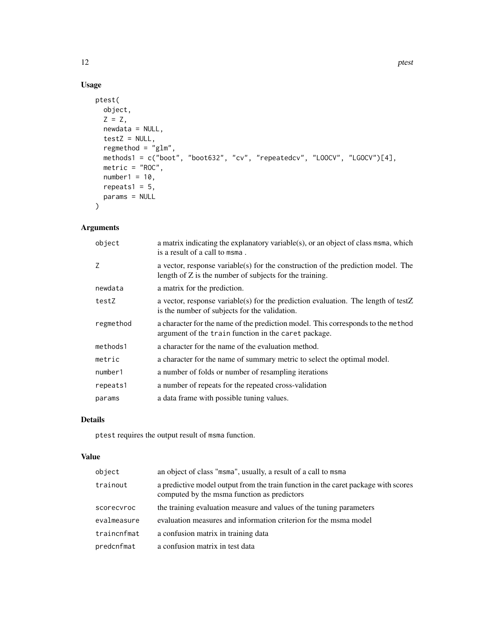#### Usage

```
ptest(
  object,
  Z = Z,
  newdata = NULL,
  testZ = NULL,regmethod = "glm",methods1 = c("boot", "boot632", "cv", "repeatedcv", "LOOCV", "LGOCV")[4],
  metric = "ROC",number1 = 10,
  repeats1 = 5,
  params = NULL
\mathcal{L}
```
#### Arguments

| object    | a matrix indicating the explanatory variable(s), or an object of class msma, which<br>is a result of a call to msma.                          |
|-----------|-----------------------------------------------------------------------------------------------------------------------------------------------|
| Z         | a vector, response variable(s) for the construction of the prediction model. The<br>length of $Z$ is the number of subjects for the training. |
| newdata   | a matrix for the prediction.                                                                                                                  |
| testZ     | a vector, response variable(s) for the prediction evaluation. The length of testZ<br>is the number of subjects for the validation.            |
| regmethod | a character for the name of the prediction model. This corresponds to the method<br>argument of the train function in the caret package.      |
| methods1  | a character for the name of the evaluation method.                                                                                            |
| metric    | a character for the name of summary metric to select the optimal model.                                                                       |
| number1   | a number of folds or number of resampling iterations                                                                                          |
| repeats1  | a number of repeats for the repeated cross-validation                                                                                         |
| params    | a data frame with possible tuning values.                                                                                                     |

#### Details

ptest requires the output result of msma function.

#### Value

| object      | an object of class "msma", usually, a result of a call to msma                                                                    |
|-------------|-----------------------------------------------------------------------------------------------------------------------------------|
| trainout    | a predictive model output from the train function in the caret package with scores<br>computed by the msma function as predictors |
| scorecyroc  | the training evaluation measure and values of the tuning parameters                                                               |
| evalmeasure | evaluation measures and information criterion for the msma model                                                                  |
| traincnfmat | a confusion matrix in training data                                                                                               |
| predcnfmat  | a confusion matrix in test data                                                                                                   |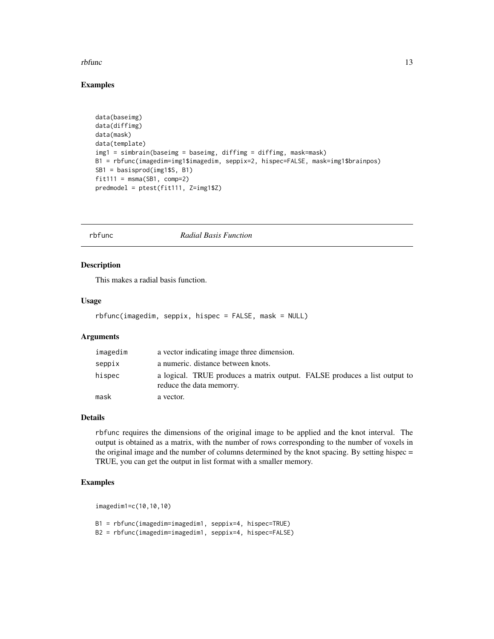#### <span id="page-12-0"></span>rbfunc 13

#### Examples

```
data(baseimg)
data(diffimg)
data(mask)
data(template)
img1 = simbrain(baseimg = baseimg, diffimg = diffimg, mask=mask)
B1 = rbfunc(imagedim=img1$imagedim, seppix=2, hispec=FALSE, mask=img1$brainpos)
SB1 = basisprod(img1$S, B1)
fit111 = msma(SB1, comp=2)predmodel = ptest(fit111, Z=img1$Z)
```
#### rbfunc *Radial Basis Function*

#### Description

This makes a radial basis function.

#### Usage

rbfunc(imagedim, seppix, hispec = FALSE, mask = NULL)

#### Arguments

| imagedim | a vector indicating image three dimension.                                                            |
|----------|-------------------------------------------------------------------------------------------------------|
| seppix   | a numeric. distance between knots.                                                                    |
| hispec   | a logical. TRUE produces a matrix output. FALSE produces a list output to<br>reduce the data memorry. |
| mask     | a vector.                                                                                             |

#### Details

rbfunc requires the dimensions of the original image to be applied and the knot interval. The output is obtained as a matrix, with the number of rows corresponding to the number of voxels in the original image and the number of columns determined by the knot spacing. By setting hispec = TRUE, you can get the output in list format with a smaller memory.

#### Examples

imagedim1=c(10,10,10)

B1 = rbfunc(imagedim=imagedim1, seppix=4, hispec=TRUE) B2 = rbfunc(imagedim=imagedim1, seppix=4, hispec=FALSE)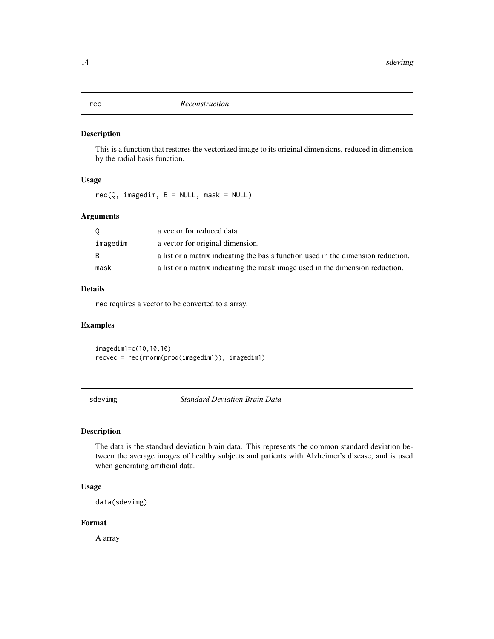<span id="page-13-0"></span>rec *Reconstruction*

#### Description

This is a function that restores the vectorized image to its original dimensions, reduced in dimension by the radial basis function.

#### Usage

 $rec(Q, imagedim, B = NULL, mask = NULL)$ 

#### Arguments

| 0        | a vector for reduced data.                                                        |
|----------|-----------------------------------------------------------------------------------|
| imagedim | a vector for original dimension.                                                  |
| B.       | a list or a matrix indicating the basis function used in the dimension reduction. |
| mask     | a list or a matrix indicating the mask image used in the dimension reduction.     |

#### Details

rec requires a vector to be converted to a array.

#### Examples

imagedim1=c(10,10,10) recvec = rec(rnorm(prod(imagedim1)), imagedim1)

sdevimg *Standard Deviation Brain Data*

#### Description

The data is the standard deviation brain data. This represents the common standard deviation between the average images of healthy subjects and patients with Alzheimer's disease, and is used when generating artificial data.

#### Usage

data(sdevimg)

#### Format

A array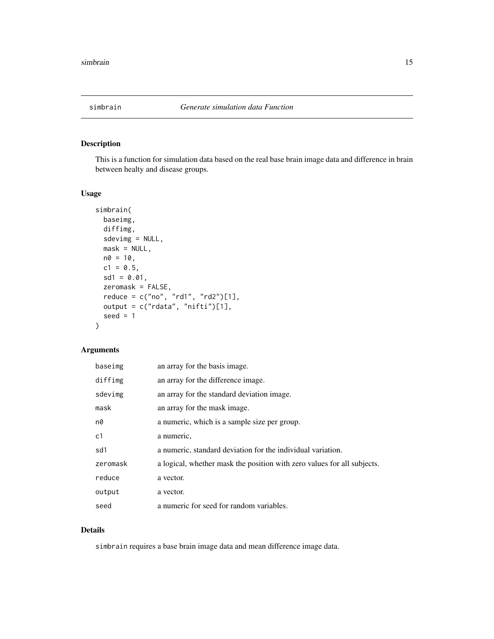<span id="page-14-0"></span>

This is a function for simulation data based on the real base brain image data and difference in brain between healty and disease groups.

#### Usage

```
simbrain(
 baseimg,
 diffimg,
 sdevimg = NULL,
 mask = NULL,n0 = 10,
 c1 = 0.5,
 sd1 = 0.01,
  zeromask = FALSE,
  reduce = c("no", "rd1", "rd2")[1],
 output = c("rdata", "nifti")[1],seed = 1)
```
#### Arguments

| baseimg  | an array for the basis image.                                           |
|----------|-------------------------------------------------------------------------|
| diffimg  | an array for the difference image.                                      |
| sdevimg  | an array for the standard deviation image.                              |
| mask     | an array for the mask image.                                            |
| n0       | a numeric, which is a sample size per group.                            |
| c1       | a numeric,                                                              |
| sd1      | a numeric, standard deviation for the individual variation.             |
| zeromask | a logical, whether mask the position with zero values for all subjects. |
| reduce   | a vector.                                                               |
| output   | a vector.                                                               |
| seed     | a numeric for seed for random variables.                                |

#### Details

simbrain requires a base brain image data and mean difference image data.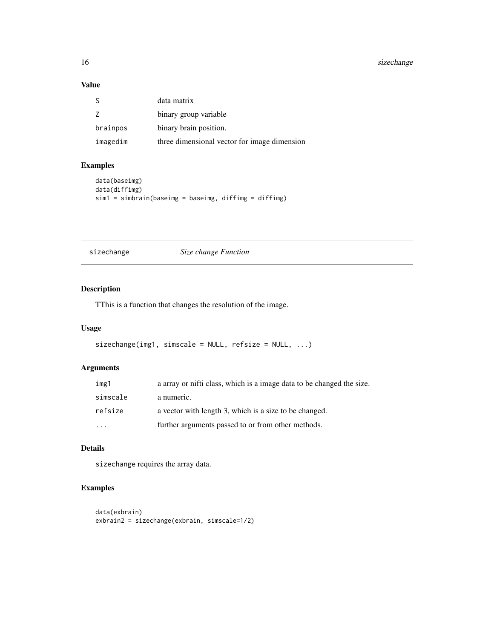#### <span id="page-15-0"></span>16 sizechange

#### Value

|          | data matrix                                  |
|----------|----------------------------------------------|
|          | binary group variable                        |
| brainpos | binary brain position.                       |
| imagedim | three dimensional vector for image dimension |

#### Examples

```
data(baseimg)
data(diffimg)
sim1 = simbrain(baseimg = baseimg, diffimg = diffimg)
```
#### sizechange *Size change Function*

#### Description

TThis is a function that changes the resolution of the image.

#### Usage

```
sizechange(img1, simscale = NULL, refsize = NULL, ...)
```
#### Arguments

| img1     | a array or nifti class, which is a image data to be changed the size. |
|----------|-----------------------------------------------------------------------|
| simscale | a numeric.                                                            |
| refsize  | a vector with length 3, which is a size to be changed.                |
| $\cdot$  | further arguments passed to or from other methods.                    |

#### Details

sizechange requires the array data.

#### Examples

```
data(exbrain)
exbrain2 = sizechange(exbrain, simscale=1/2)
```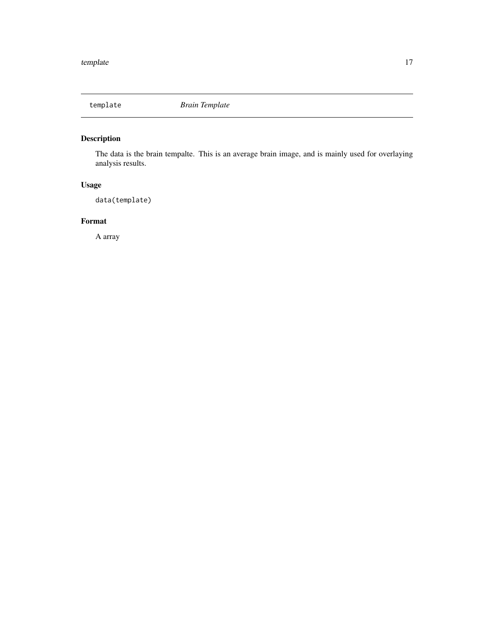<span id="page-16-0"></span>

The data is the brain tempalte. This is an average brain image, and is mainly used for overlaying analysis results.

### Usage

data(template)

#### Format

A array